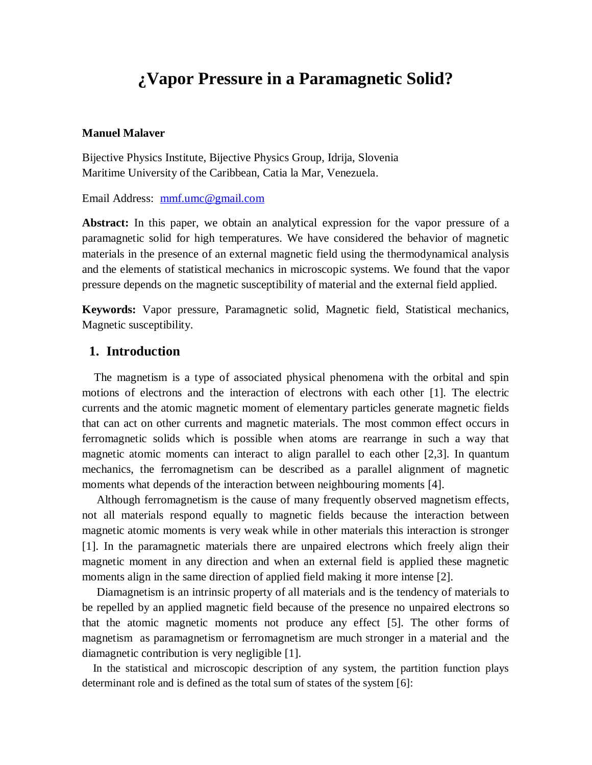# **¿Vapor Pressure in a Paramagnetic Solid?**

#### **Manuel Malaver**

Bijective Physics Institute, Bijective Physics Group, Idrija, Slovenia Maritime University of the Caribbean, Catia la Mar, Venezuela.

Email Address: [mmf.umc@gmail.com](mailto:mmf.umc@gmail.com)

**Abstract:** In this paper, we obtain an analytical expression for the vapor pressure of a paramagnetic solid for high temperatures. We have considered the behavior of magnetic materials in the presence of an external magnetic field using the thermodynamical analysis and the elements of statistical mechanics in microscopic systems. We found that the vapor pressure depends on the magnetic susceptibility of material and the external field applied.

**Keywords:** Vapor pressure, Paramagnetic solid, Magnetic field, Statistical mechanics, Magnetic susceptibility.

## **1. Introduction**

 The magnetism is a type of associated physical phenomena with the orbital and spin motions of electrons and the interaction of electrons with each other [1]. The electric currents and the atomic magnetic moment of elementary particles generate magnetic fields that can act on other currents and magnetic materials. The most common effect occurs in ferromagnetic solids which is possible when atoms are rearrange in such a way that magnetic atomic moments can interact to align parallel to each other [2,3]. In quantum mechanics, the ferromagnetism can be described as a parallel alignment of magnetic moments what depends of the interaction between neighbouring moments [4].

 Although ferromagnetism is the cause of many frequently observed magnetism effects, not all materials respond equally to magnetic fields because the interaction between magnetic atomic moments is very weak while in other materials this interaction is stronger [1]. In the paramagnetic materials there are unpaired electrons which freely align their magnetic moment in any direction and when an external field is applied these magnetic moments align in the same direction of applied field making it more intense [2].

 Diamagnetism is an intrinsic property of all materials and is the tendency of materials to be repelled by an applied magnetic field because of the presence no unpaired electrons so that the atomic magnetic moments not produce any effect [5]. The other forms of magnetism as paramagnetism or ferromagnetism are much stronger in a material and the diamagnetic contribution is very negligible [1].

 In the statistical and microscopic description of any system, the partition function plays determinant role and is defined as the total sum of states of the system [6]: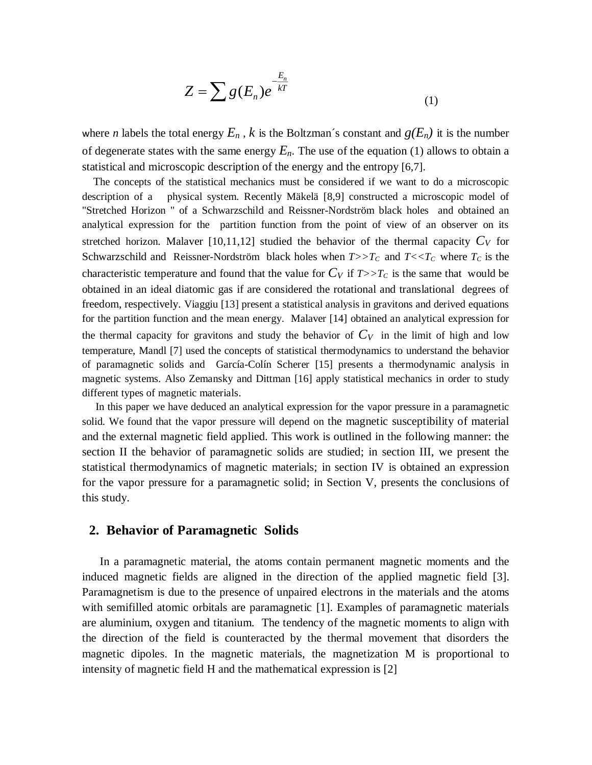$$
Z = \sum g(E_n) e^{-\frac{E_n}{kT}}
$$
 (1)

where *n* labels the total energy  $E_n$ , *k* is the Boltzman's constant and  $g(E_n)$  it is the number of degenerate states with the same energy  $E_n$ . The use of the equation (1) allows to obtain a statistical and microscopic description of the energy and the entropy [6,7].

 The concepts of the statistical mechanics must be considered if we want to do a microscopic description of a physical system. Recently Mäkelä [8,9] constructed a microscopic model of "Stretched Horizon " of a Schwarzschild and Reissner-Nordström black holes and obtained an analytical expression for the partition function from the point of view of an observer on its stretched horizon. Malaver [10,11,12] studied the behavior of the thermal capacity  $C_V$  for Schwarzschild and Reissner-Nordström black holes when  $T>>T_C$  and  $T< where  $T_C$  is the$ characteristic temperature and found that the value for  $C_V$  if  $T>>T_C$  is the same that would be obtained in an ideal diatomic gas if are considered the rotational and translational degrees of freedom, respectively. Viaggiu [13] present a statistical analysis in gravitons and derived equations for the partition function and the mean energy. Malaver [14] obtained an analytical expression for the thermal capacity for gravitons and study the behavior of  $C_V$  in the limit of high and low temperature, Mandl [7] used the concepts of statistical thermodynamics to understand the behavior of paramagnetic solids and García-Colín Scherer [15] presents a thermodynamic analysis in magnetic systems. Also Zemansky and Dittman [16] apply statistical mechanics in order to study different types of magnetic materials.

 In this paper we have deduced an analytical expression for the vapor pressure in a paramagnetic solid. We found that the vapor pressure will depend on the magnetic susceptibility of material and the external magnetic field applied. This work is outlined in the following manner: the section II the behavior of paramagnetic solids are studied; in section III, we present the statistical thermodynamics of magnetic materials; in section IV is obtained an expression for the vapor pressure for a paramagnetic solid; in Section V, presents the conclusions of this study.

### **2. Behavior of Paramagnetic Solids**

 In a paramagnetic material, the atoms contain permanent magnetic moments and the induced magnetic fields are aligned in the direction of the applied magnetic field [3]. Paramagnetism is due to the presence of unpaired electrons in the materials and the atoms with semifilled atomic orbitals are paramagnetic [1]. Examples of paramagnetic materials are aluminium, oxygen and titanium. The tendency of the magnetic moments to align with the direction of the field is counteracted by the thermal movement that disorders the magnetic dipoles. In the magnetic materials, the magnetization M is proportional to intensity of magnetic field H and the mathematical expression is [2]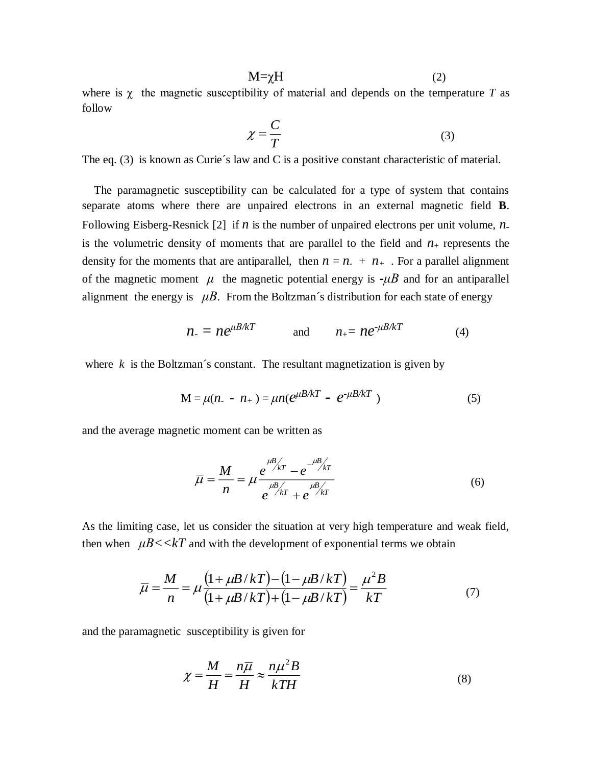$$
M = \chi H \tag{2}
$$

where is  $\chi$  the magnetic susceptibility of material and depends on the temperature *T* as follow

$$
\chi = \frac{C}{T} \tag{3}
$$

The eq. (3) is known as Curie's law and C is a positive constant characteristic of material.

 The paramagnetic susceptibility can be calculated for a type of system that contains separate atoms where there are unpaired electrons in an external magnetic field **B**. Following Eisberg-Resnick [2] if *n* is the number of unpaired electrons per unit volume, *n*is the volumetric density of moments that are parallel to the field and  $n_{+}$  represents the density for the moments that are antiparallel, then  $n = n + n_{+}$ . For a parallel alignment of the magnetic moment  $\mu$  the magnetic potential energy is  $-\mu B$  and for an antiparallel alignment the energy is  $\mu B$ . From the Boltzman's distribution for each state of energy

$$
n = n e^{\mu B/kT} \qquad \text{and} \qquad n_{+} = n e^{-\mu B/kT} \qquad (4)
$$

where  $k$  is the Boltzman's constant. The resultant magnetization is given by

$$
M = \mu(n_{-} - n_{+}) = \mu n(e^{\mu B/kT} - e^{-\mu B/kT})
$$
\n(5)

and the average magnetic moment can be written as

$$
\overline{\mu} = \frac{M}{n} = \mu \frac{e^{\mu B/kr} - e^{-\mu B/kr}}{e^{\mu B/kr} + e^{\mu B/kr}}
$$
(6)

As the limiting case, let us consider the situation at very high temperature and weak field, then when  $\mu B \ll kT$  and with the development of exponential terms we obtain

$$
\overline{\mu} = \frac{M}{n} = \mu \frac{\left(1 + \mu B / kT\right) - \left(1 - \mu B / kT\right)}{\left(1 + \mu B / kT\right) + \left(1 - \mu B / kT\right)} = \frac{\mu^2 B}{kT}
$$
(7)

and the paramagnetic susceptibility is given for

$$
\chi = \frac{M}{H} = \frac{n\overline{\mu}}{H} \approx \frac{n\mu^2 B}{kTH}
$$
(8)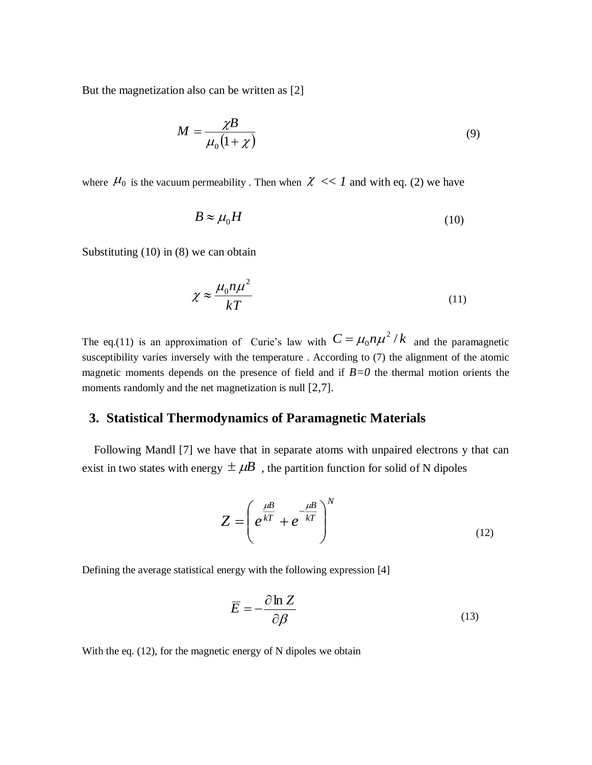But the magnetization also can be written as [2]

$$
M = \frac{\chi B}{\mu_0 (1 + \chi)}\tag{9}
$$

where  $\mu_0$  is the vacuum permeability. Then when  $\chi \ll 1$  and with eq. (2) we have

$$
B \approx \mu_0 H \tag{10}
$$

Substituting (10) in (8) we can obtain

$$
\chi \approx \frac{\mu_0 n \mu^2}{kT} \tag{11}
$$

The eq.(11) is an approximation of Curie's law with  $C = \mu_0 n \mu^2 / k$  and the paramagnetic susceptibility varies inversely with the temperature . According to (7) the alignment of the atomic magnetic moments depends on the presence of field and if  $B=0$  the thermal motion orients the moments randomly and the net magnetization is null [2,7].

#### **3. Statistical Thermodynamics of Paramagnetic Materials**

 Following Mandl [7] we have that in separate atoms with unpaired electrons y that can exist in two states with energy  $\pm \mu B$ , the partition function for solid of N dipoles

$$
Z = \left(e^{\frac{\mu}{kT}} + e^{-\frac{\mu}{kT}}\right)^N \tag{12}
$$

Defining the average statistical energy with the following expression [4]

$$
\overline{E} = -\frac{\partial \ln Z}{\partial \beta} \tag{13}
$$

With the eq. (12), for the magnetic energy of N dipoles we obtain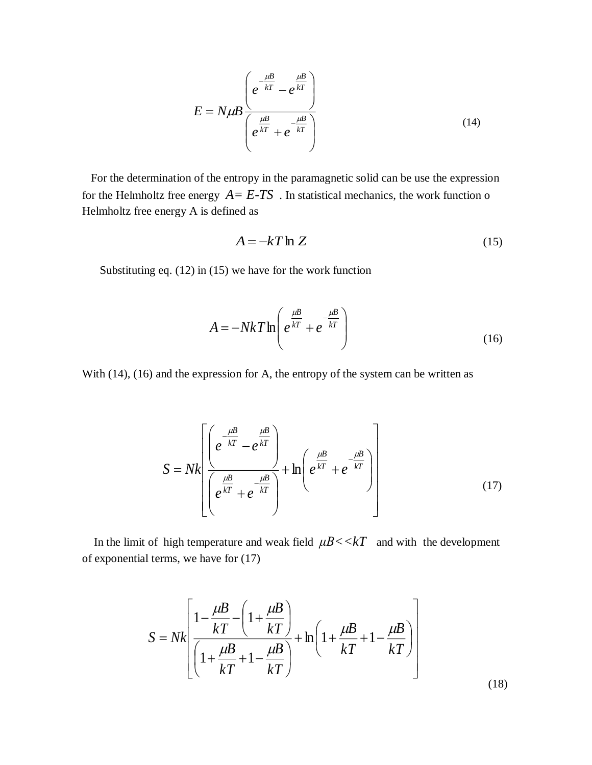$$
E = N\mu B \frac{\left(e^{-\frac{\mu B}{kT}} - e^{\frac{\mu B}{kT}}\right)}{\left(e^{\frac{\mu B}{kT}} + e^{-\frac{\mu B}{kT}}\right)}
$$
(14)

 For the determination of the entropy in the paramagnetic solid can be use the expression for the Helmholtz free energy  $A = E-TS$ . In statistical mechanics, the work function o Helmholtz free energy A is defined as

$$
A = -kT \ln Z \tag{15}
$$

Substituting eq. (12) in (15) we have for the work function

$$
A = -NkT \ln \left( e^{\frac{\mu B}{kT}} + e^{-\frac{\mu B}{kT}} \right)
$$
 (16)

With (14), (16) and the expression for A, the entropy of the system can be written as

$$
S = Nk \left[ \frac{\left( e^{-\frac{\mu B}{kT}} - e^{\frac{\mu B}{kT}} \right)}{\left( e^{\frac{\mu B}{kT}} + e^{-\frac{\mu B}{kT}} \right)} + \ln \left( e^{\frac{\mu B}{kT}} + e^{-\frac{\mu B}{kT}} \right) \right]
$$
(17)

In the limit of high temperature and weak field  $\mu B \ll kT$  and with the development of exponential terms, we have for (17)

$$
S = Nk \left[ \frac{1 - \frac{\mu}{kT}}{\left( 1 + \frac{\mu}{kT} + 1 - \frac{\mu}{kT} \right)} + \ln \left( 1 + \frac{\mu}{kT} + 1 - \frac{\mu}{kT} \right) \right]
$$
(18)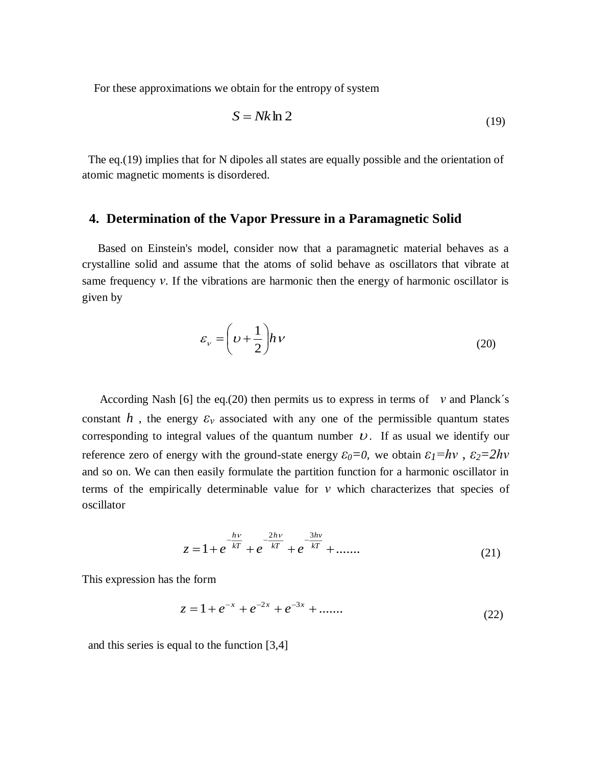For these approximations we obtain for the entropy of system

$$
S = Nk \ln 2 \tag{19}
$$

 The eq.(19) implies that for N dipoles all states are equally possible and the orientation of atomic magnetic moments is disordered.

## **4. Determination of the Vapor Pressure in a Paramagnetic Solid**

Based on Einstein's model, consider now that a paramagnetic material behaves as a crystalline solid and assume that the atoms of solid behave as oscillators that vibrate at same frequency *ν*. If the vibrations are harmonic then the energy of harmonic oscillator is given by

$$
\varepsilon_{\nu} = \left(\nu + \frac{1}{2}\right) h \nu \tag{20}
$$

 According Nash [6] the eq.(20) then permits us to express in terms of *ν* and Planck´s constant *h*, the energy  $\varepsilon$ <sub>*v*</sub> associated with any one of the permissible quantum states corresponding to integral values of the quantum number  $U$ . If as usual we identify our reference zero of energy with the ground-state energy  $\varepsilon_0 = 0$ , we obtain  $\varepsilon_1 = hv$ ,  $\varepsilon_2 = 2hv$ and so on. We can then easily formulate the partition function for a harmonic oscillator in terms of the empirically determinable value for *ν* which characterizes that species of oscillator

$$
z = 1 + e^{-\frac{hv}{kT}} + e^{-\frac{2hv}{kT}} + e^{-\frac{3hv}{kT}} + \dots
$$
 (21)

This expression has the form

$$
z = 1 + e^{-x} + e^{-2x} + e^{-3x} + \dots \tag{22}
$$

and this series is equal to the function [3,4]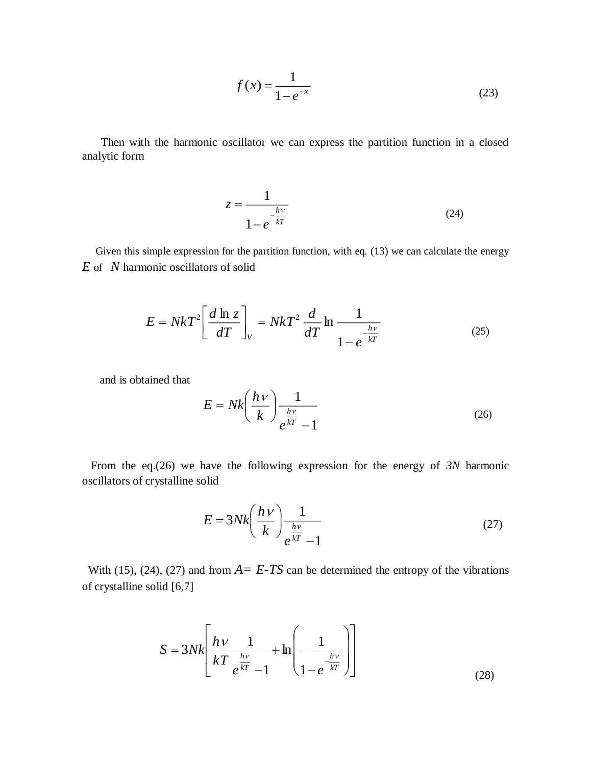$$
f(x) = \frac{1}{1 - e^{-x}}
$$
 (23)

 Then with the harmonic oscillator we can express the partition function in a closed analytic form

$$
z = \frac{1}{1 - e^{-\frac{h\nu}{kT}}}
$$
(24)

Given this simple expression for the partition function, with eq. (13) we can calculate the energy *E* of *N* harmonic oscillators of solid

$$
E = NkT^2 \left[ \frac{d \ln z}{dT} \right]_V = NkT^2 \frac{d}{dT} \ln \frac{1}{1 - e^{-\frac{h\nu}{kT}}}
$$
(25)

and is obtained that

$$
E = Nk \left(\frac{h\nu}{k}\right) \frac{1}{e^{\frac{h\nu}{kT}} - 1}
$$
 (26)

 From the eq.(26) we have the following expression for the energy of *3N* harmonic oscillators of crystalline solid

$$
E = 3Nk \left(\frac{h\nu}{k}\right) \frac{1}{e^{\frac{h\nu}{kT}} - 1} \tag{27}
$$

With (15), (24), (27) and from  $A = E$ -*TS* can be determined the entropy of the vibrations of crystalline solid [6,7]

$$
S = 3Nk \left[ \frac{h\nu}{kT} \frac{1}{e^{\frac{h\nu}{kT}} - 1} + \ln \left( \frac{1}{1 - e^{-\frac{h\nu}{kT}}} \right) \right]
$$
(28)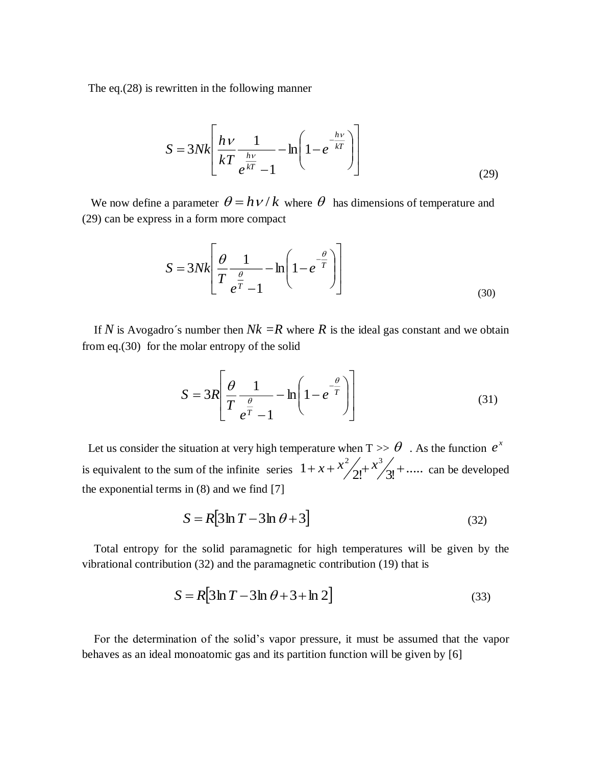The eq.(28) is rewritten in the following manner

$$
S = 3Nk \left[ \frac{h\nu}{kT} \frac{1}{e^{\frac{h\nu}{kT}} - 1} - \ln \left( 1 - e^{-\frac{h\nu}{kT}} \right) \right]
$$
(29)

We now define a parameter  $\theta = h \nu / k$  where  $\theta$  has dimensions of temperature and (29) can be express in a form more compact

$$
S = 3Nk \left[ \frac{\theta}{T} \frac{1}{e^{\frac{\theta}{T}} - 1} - \ln \left( 1 - e^{-\frac{\theta}{T}} \right) \right]
$$
(30)

If *N* is Avogadro's number then  $Nk = R$  where *R* is the ideal gas constant and we obtain from eq.(30) for the molar entropy of the solid

$$
S = 3R \left[ \frac{\theta}{T} \frac{1}{e^{\frac{\theta}{T}} - 1} - \ln \left( 1 - e^{-\frac{\theta}{T}} \right) \right]
$$
(31)

Let us consider the situation at very high temperature when  $T >> \theta$ . As the function  $e^x$ is equivalent to the sum of the infinite series  $1 + x + \frac{x^2}{2!} + \frac{x^3}{3!} + \dots$  can be developed the exponential terms in  $(8)$  and we find  $[7]$ 

$$
S = R[3\ln T - 3\ln \theta + 3]
$$
\n(32)

 Total entropy for the solid paramagnetic for high temperatures will be given by the vibrational contribution (32) and the paramagnetic contribution (19) that is

$$
S = R[3\ln T - 3\ln \theta + 3 + \ln 2]
$$
\n(33)

 For the determination of the solid's vapor pressure, it must be assumed that the vapor behaves as an ideal monoatomic gas and its partition function will be given by [6]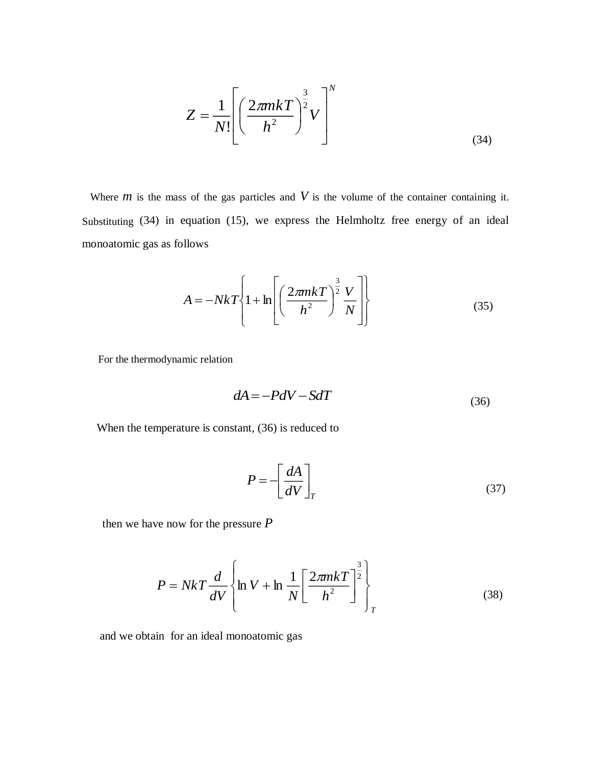$$
Z = \frac{1}{N!} \left[ \left( \frac{2\pi mkT}{h^2} \right)^{\frac{3}{2}} V \right]^N
$$
\n(34)

Where  $m$  is the mass of the gas particles and  $V$  is the volume of the container containing it. Substituting (34) in equation (15), we express the Helmholtz free energy of an ideal monoatomic gas as follows

$$
A = -NkT \left\{ 1 + \ln \left[ \left( \frac{2\pi mkT}{h^2} \right)^{\frac{3}{2}} \frac{V}{N} \right] \right\}
$$
(35)

For the thermodynamic relation

$$
dA = -PdV - SdT \tag{36}
$$

When the temperature is constant, (36) is reduced to

$$
P = -\left[\frac{dA}{dV}\right]_T\tag{37}
$$

then we have now for the pressure *P*

$$
P = NkT \frac{d}{dV} \left\{ \ln V + \ln \frac{1}{N} \left[ \frac{2\pi mkT}{h^2} \right]_T^2 \right\}
$$
(38)

and we obtain for an ideal monoatomic gas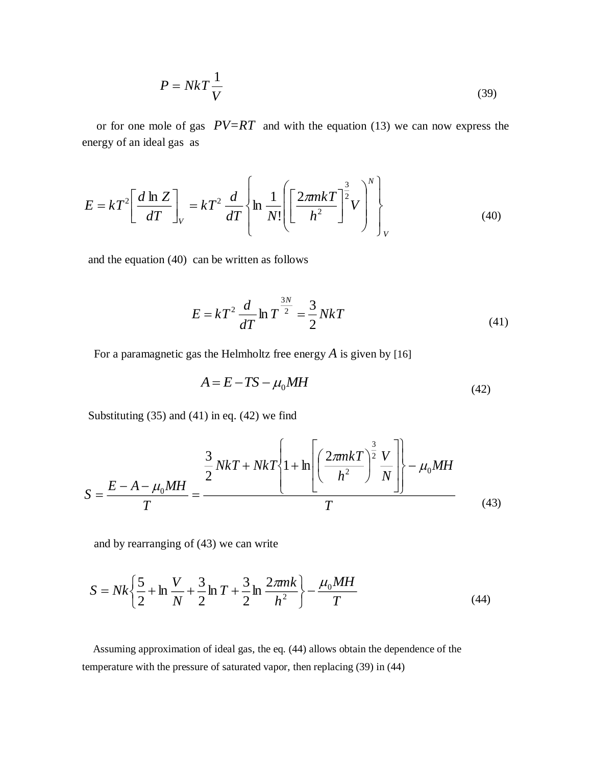$$
P = NkT \frac{1}{V}
$$
 (39)

 or for one mole of gas *PV=RT* and with the equation (13) we can now express the energy of an ideal gas as

$$
E = kT^2 \left[ \frac{d \ln Z}{dT} \right]_V = kT^2 \frac{d}{dT} \left\{ \ln \frac{1}{N!} \left[ \left( \frac{2\pi mkT}{h^2} \right)^{\frac{3}{2}} V \right]_V^N \right\}
$$
(40)

and the equation (40) can be written as follows

$$
E = kT^2 \frac{d}{dT} \ln T^{\frac{3N}{2}} = \frac{3}{2} NkT
$$
 (41)

For a paramagnetic gas the Helmholtz free energy *A* is given by [16]

$$
A = E - TS - \mu_0 MH
$$
\n<sup>(42)</sup>

Substituting  $(35)$  and  $(41)$  in eq.  $(42)$  we find

$$
S = \frac{E - A - \mu_0 M H}{T} = \frac{\frac{3}{2} N k T + N k T \left\{1 + \ln \left[\left(\frac{2 \pi m k T}{h^2}\right)^{\frac{3}{2}} \frac{V}{N}\right]\right\} - \mu_0 M H}{T}
$$
(43)

and by rearranging of (43) we can write

$$
S = Nk\left\{\frac{5}{2} + \ln\frac{V}{N} + \frac{3}{2}\ln T + \frac{3}{2}\ln\frac{2\pi mk}{h^2}\right\} - \frac{\mu_0 M H}{T}
$$
(44)

 Assuming approximation of ideal gas, the eq. (44) allows obtain the dependence of the temperature with the pressure of saturated vapor, then replacing (39) in (44)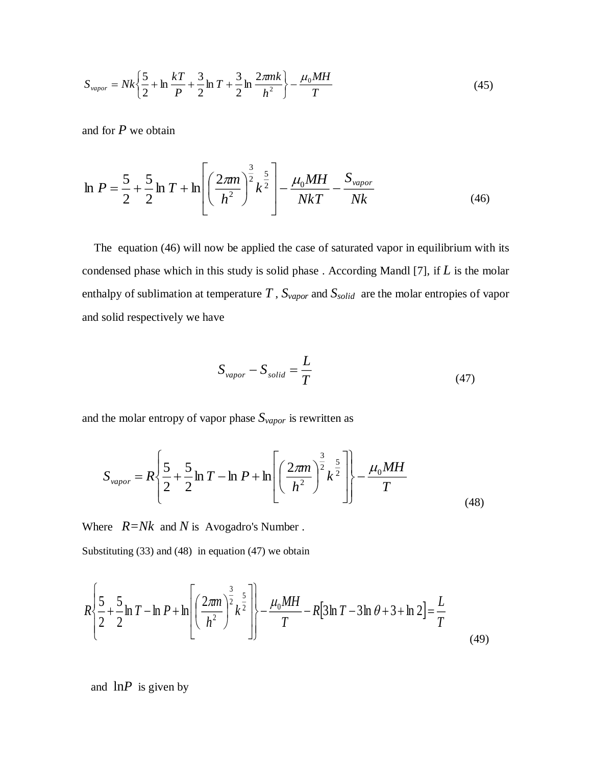$$
S_{vapor} = Nk \left\{ \frac{5}{2} + \ln \frac{kT}{P} + \frac{3}{2} \ln T + \frac{3}{2} \ln \frac{2\pi mk}{h^2} \right\} - \frac{\mu_0 M H}{T}
$$
(45)

and for *P* we obtain

$$
\ln P = \frac{5}{2} + \frac{5}{2} \ln T + \ln \left[ \left( \frac{2\pi m}{h^2} \right)^{\frac{3}{2}} k^{\frac{5}{2}} \right] - \frac{\mu_0 M H}{N k T} - \frac{S_{\text{vapor}}}{N k}
$$
(46)

 The equation (46) will now be applied the case of saturated vapor in equilibrium with its condensed phase which in this study is solid phase . According Mandl [7], if *L* is the molar enthalpy of sublimation at temperature *T* , *Svapor* and *Ssolid* are the molar entropies of vapor and solid respectively we have

$$
S_{vapor} - S_{solid} = \frac{L}{T}
$$
 (47)

and the molar entropy of vapor phase  $S_{vapor}$  is rewritten as

$$
S_{\text{vapor}} = R \left\{ \frac{5}{2} + \frac{5}{2} \ln T - \ln P + \ln \left[ \left( \frac{2\pi m}{h^2} \right)^{\frac{3}{2}} k^{\frac{5}{2}} \right] \right\} - \frac{\mu_0 M H}{T}
$$
(48)

Where *R=Nk* and *N* is Avogadro's Number .

Substituting (33) and (48) in equation (47) we obtain

$$
R\left\{\frac{5}{2} + \frac{5}{2}\ln T - \ln P + \ln \left[ \left( \frac{2\pi n}{h^2} \right)^{\frac{3}{2}} k^{\frac{5}{2}} \right] \right\} - \frac{\mu_0 M H}{T} - R[3\ln T - 3\ln \theta + 3 + \ln 2] = \frac{L}{T}
$$
(49)

and  $\ln P$  is given by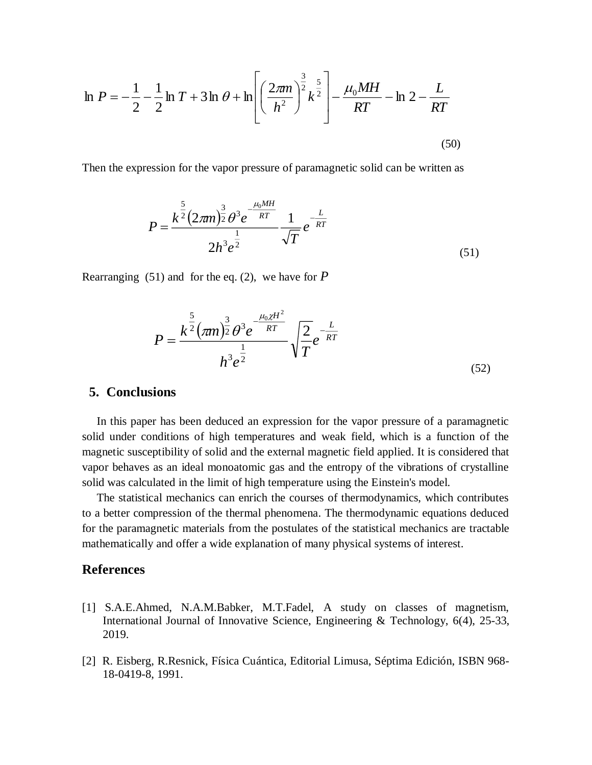$$
\ln P = -\frac{1}{2} - \frac{1}{2} \ln T + 3 \ln \theta + \ln \left[ \left( \frac{2\pi m}{h^2} \right)^{\frac{3}{2}} k^{\frac{5}{2}} \right] - \frac{\mu_0 M H}{RT} - \ln 2 - \frac{L}{RT}
$$
\n(50)

Then the expression for the vapor pressure of paramagnetic solid can be written as

$$
P = \frac{k^{\frac{5}{2}} (2\pi n)^{\frac{3}{2}} \theta^3 e^{-\frac{\mu_0 M H}{RT}}}{2h^3 e^{\frac{1}{2}}} \frac{1}{\sqrt{T}} e^{-\frac{L}{RT}}
$$
(51)

Rearranging (51) and for the eq. (2), we have for *P*

$$
P = \frac{k^{\frac{5}{2}}(\pi m)^{\frac{3}{2}}\theta^3 e^{\frac{-\mu_0 \chi H^2}{RT}}}{h^3 e^{\frac{1}{2}}} \sqrt{\frac{2}{T}} e^{\frac{L}{RT}}
$$
(52)

#### **5. Conclusions**

 In this paper has been deduced an expression for the vapor pressure of a paramagnetic solid under conditions of high temperatures and weak field, which is a function of the magnetic susceptibility of solid and the external magnetic field applied. It is considered that vapor behaves as an ideal monoatomic gas and the entropy of the vibrations of crystalline solid was calculated in the limit of high temperature using the Einstein's model.

 The statistical mechanics can enrich the courses of thermodynamics, which contributes to a better compression of the thermal phenomena. The thermodynamic equations deduced for the paramagnetic materials from the postulates of the statistical mechanics are tractable mathematically and offer a wide explanation of many physical systems of interest.

### **References**

- [1] S.A.E.Ahmed, N.A.M.Babker, M.T.Fadel, A study on classes of magnetism, International Journal of Innovative Science, Engineering & Technology, 6(4), 25-33, 2019.
- [2] R. Eisberg, R.Resnick, Física Cuántica, Editorial Limusa, Séptima Edición, ISBN 968- 18-0419-8, 1991.